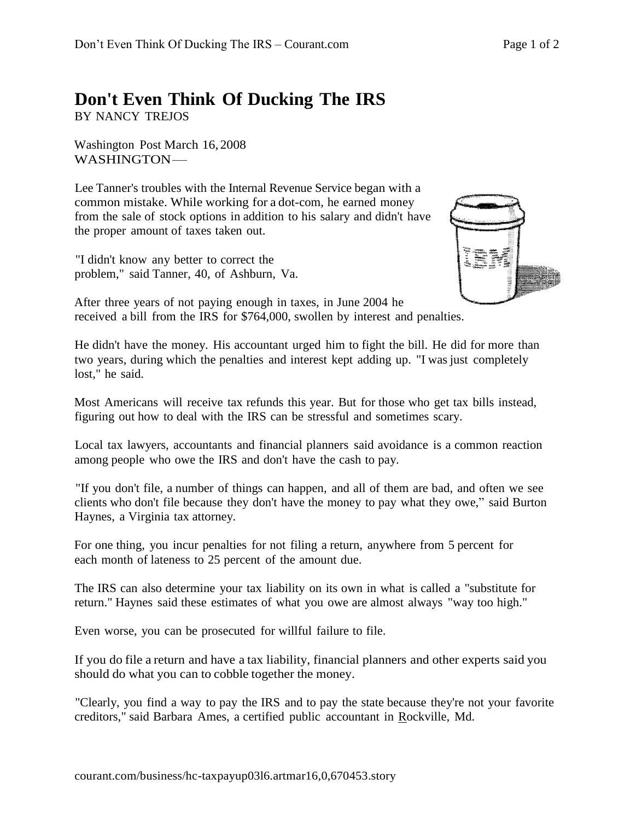## **Don't Even Think Of Ducking The IRS**

BY NANCY TREJOS

Washington Post March 16, 2008 WASHINGTON-

Lee Tanner's troubles with the Internal Revenue Service began with a common mistake. While working for a dot-com, he earned money from the sale of stock options in addition to his salary and didn't have the proper amount of taxes taken out.

"I didn't know any better to correct the problem," said Tanner, 40, of Ashburn, Va.



After three years of not paying enough in taxes, in June 2004 he received a bill from the IRS for \$764,000, swollen by interest and penalties.

He didn't have the money. His accountant urged him to fight the bill. He did for more than two years, during which the penalties and interest kept adding up. "I was just completely lost," he said.

Most Americans will receive tax refunds this year. But for those who get tax bills instead, figuring out how to deal with the IRS can be stressful and sometimes scary.

Local tax lawyers, accountants and financial planners said avoidance is a common reaction among people who owe the IRS and don't have the cash to pay.

"If you don't file, a number of things can happen, and all of them are bad, and often we see clients who don't file because they don't have the money to pay what they owe," said Burton Haynes, a Virginia tax attorney.

For one thing, you incur penalties for not filing a return, anywhere from 5 percent for each month of lateness to 25 percent of the amount due.

The IRS can also determine your tax liability on its own in what is called a "substitute for return." Haynes said these estimates of what you owe are almost always "way too high."

Even worse, you can be prosecuted for willful failure to file.

If you do file a return and have a tax liability, financial planners and other experts said you should do what you can to cobble together the money.

"Clearly, you find a way to pay the IRS and to pay the state because they're not your favorite creditors," said Barbara Ames, a certified public accountant in Rockville, Md.